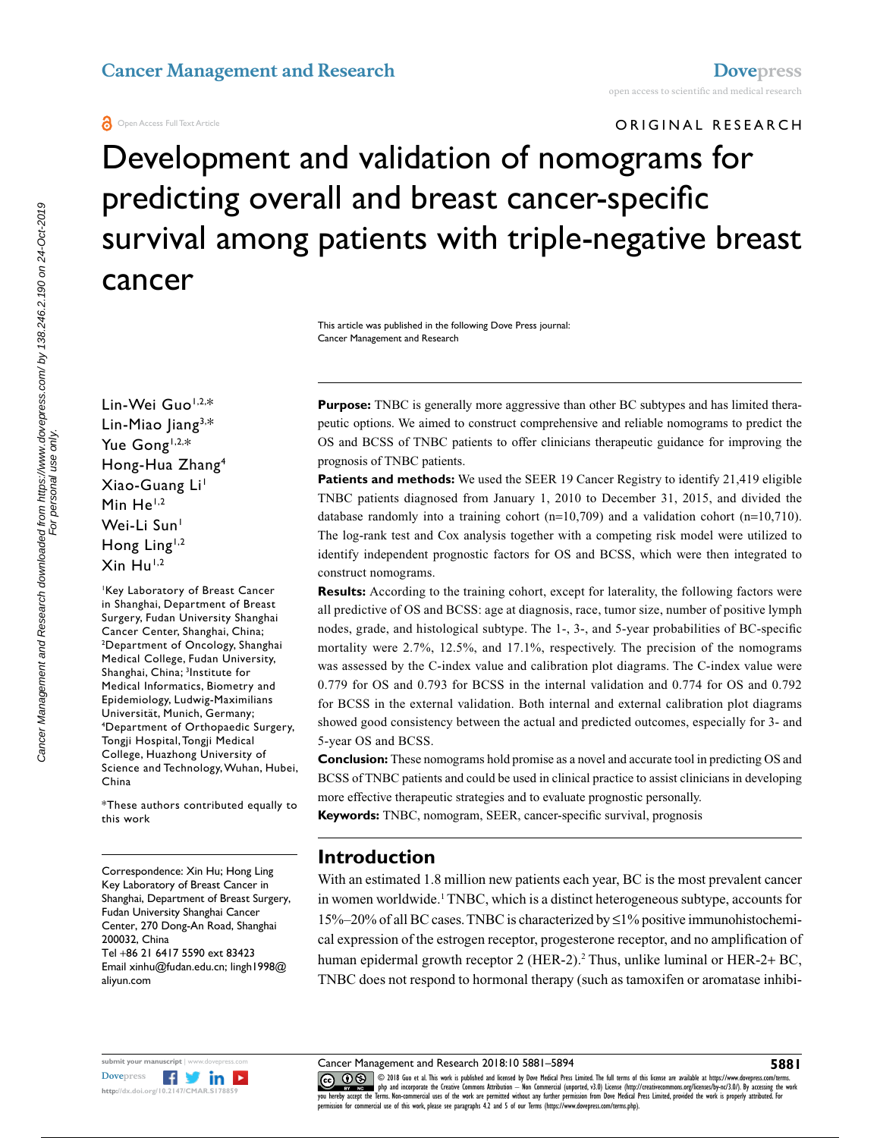#### **O** Open Access Full Text Article

ORIGINAL RESEARCH

Development and validation of nomograms for predicting overall and breast cancer-specific survival among patients with triple-negative breast cancer

> This article was published in the following Dove Press journal: Cancer Management and Research

Lin-Wei Guo<sup>1,2,\*</sup> Lin-Miao Jiang3,\* Yue Gong<sup>1,2,\*</sup> Hong-Hua Zhang4 Xiao-Guang Li 1 Min He<sup>1,2</sup> Wei-Li Sun<sup>1</sup> Hong Ling<sup>1,2</sup>  $X$ in Hu<sup>1,2</sup>

1 Key Laboratory of Breast Cancer in Shanghai, Department of Breast Surgery, Fudan University Shanghai Cancer Center, Shanghai, China; 2 <sup>2</sup>Department of Oncology, Shanghai Medical College, Fudan University, Shanghai, China; <sup>3</sup>Institute for Medical Informatics, Biometry and Epidemiology, Ludwig-Maximilians Universität, Munich, Germany; 4 Department of Orthopaedic Surgery, Tongji Hospital, Tongji Medical College, Huazhong University of Science and Technology, Wuhan, Hubei, China

\*These authors contributed equally to this work

Correspondence: Xin Hu; Hong Ling Key Laboratory of Breast Cancer in Shanghai, Department of Breast Surgery, Fudan University Shanghai Cancer Center, 270 Dong-An Road, Shanghai 200032, China Tel +86 21 6417 5590 ext 83423 Email xinhu@fudan.edu.cn; lingh1998@ aliyun.com



Cancer Management and Research downloaded from https://www.dovepress.com/ by 138.246.2.190 on 24-Oct-2019

**Purpose:** TNBC is generally more aggressive than other BC subtypes and has limited therapeutic options. We aimed to construct comprehensive and reliable nomograms to predict the OS and BCSS of TNBC patients to offer clinicians therapeutic guidance for improving the prognosis of TNBC patients.

**Patients and methods:** We used the SEER 19 Cancer Registry to identify 21,419 eligible TNBC patients diagnosed from January 1, 2010 to December 31, 2015, and divided the database randomly into a training cohort  $(n=10,709)$  and a validation cohort  $(n=10,710)$ . The log-rank test and Cox analysis together with a competing risk model were utilized to identify independent prognostic factors for OS and BCSS, which were then integrated to construct nomograms.

**Results:** According to the training cohort, except for laterality, the following factors were all predictive of OS and BCSS: age at diagnosis, race, tumor size, number of positive lymph nodes, grade, and histological subtype. The 1-, 3-, and 5-year probabilities of BC-specific mortality were 2.7%, 12.5%, and 17.1%, respectively. The precision of the nomograms was assessed by the C-index value and calibration plot diagrams. The C-index value were 0.779 for OS and 0.793 for BCSS in the internal validation and 0.774 for OS and 0.792 for BCSS in the external validation. Both internal and external calibration plot diagrams showed good consistency between the actual and predicted outcomes, especially for 3- and 5-year OS and BCSS.

**Conclusion:** These nomograms hold promise as a novel and accurate tool in predicting OS and BCSS of TNBC patients and could be used in clinical practice to assist clinicians in developing more effective therapeutic strategies and to evaluate prognostic personally.

**Keywords:** TNBC, nomogram, SEER, cancer-specific survival, prognosis

#### **Introduction**

With an estimated 1.8 million new patients each year, BC is the most prevalent cancer in women worldwide.1 TNBC, which is a distinct heterogeneous subtype, accounts for  $15\% - 20\%$  of all BC cases. TNBC is characterized by  $\leq 1\%$  positive immunohistochemical expression of the estrogen receptor, progesterone receptor, and no amplification of human epidermal growth receptor 2 (HER-2).<sup>2</sup> Thus, unlike luminal or HER-2+ BC, TNBC does not respond to hormonal therapy (such as tamoxifen or aromatase inhibi-

Cancer Management and Research 2018:10 5881–5894

CODIS Guo et al. This work is published and licensed by Dove Medical Press Limited. The full terms of this license are available at https://www.dovepress.com/terms.<br>You hereby accept the Terms. Non-commercial uses of the w permission for commercial use of this work, please see paragraphs 4.2 and 5 of our Terms (https://www.dovepress.com/terms.php).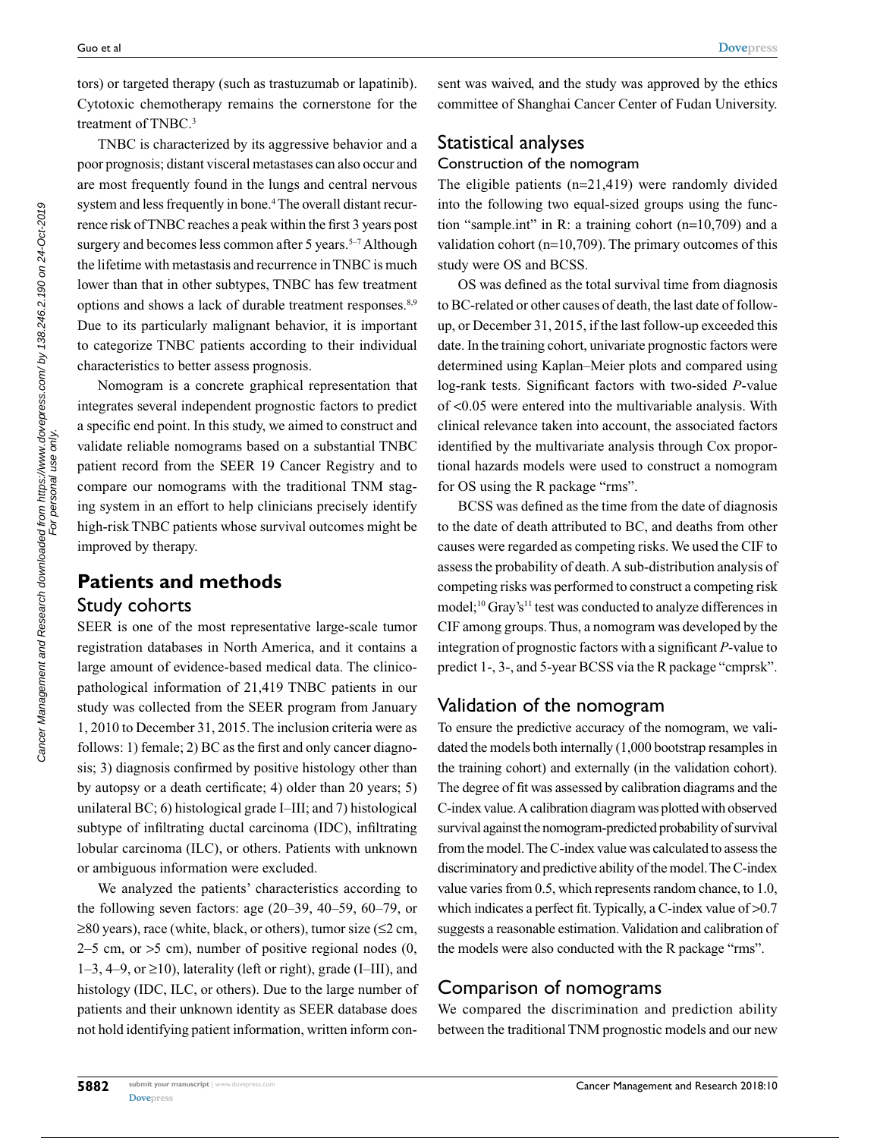tors) or targeted therapy (such as trastuzumab or lapatinib). Cytotoxic chemotherapy remains the cornerstone for the treatment of TNBC.<sup>3</sup>

TNBC is characterized by its aggressive behavior and a poor prognosis; distant visceral metastases can also occur and are most frequently found in the lungs and central nervous system and less frequently in bone.<sup>4</sup> The overall distant recurrence risk of TNBC reaches a peak within the first 3 years post surgery and becomes less common after 5 years.<sup>5-7</sup> Although the lifetime with metastasis and recurrence in TNBC is much lower than that in other subtypes, TNBC has few treatment options and shows a lack of durable treatment responses.<sup>8,9</sup> Due to its particularly malignant behavior, it is important to categorize TNBC patients according to their individual characteristics to better assess prognosis.

Nomogram is a concrete graphical representation that integrates several independent prognostic factors to predict a specific end point. In this study, we aimed to construct and validate reliable nomograms based on a substantial TNBC patient record from the SEER 19 Cancer Registry and to compare our nomograms with the traditional TNM staging system in an effort to help clinicians precisely identify high-risk TNBC patients whose survival outcomes might be improved by therapy.

## **Patients and methods** Study cohorts

SEER is one of the most representative large-scale tumor registration databases in North America, and it contains a large amount of evidence-based medical data. The clinicopathological information of 21,419 TNBC patients in our study was collected from the SEER program from January 1, 2010 to December 31, 2015. The inclusion criteria were as follows: 1) female; 2) BC as the first and only cancer diagnosis; 3) diagnosis confirmed by positive histology other than by autopsy or a death certificate; 4) older than 20 years; 5) unilateral BC; 6) histological grade I–III; and 7) histological subtype of infiltrating ductal carcinoma (IDC), infiltrating lobular carcinoma (ILC), or others. Patients with unknown or ambiguous information were excluded.

We analyzed the patients' characteristics according to the following seven factors: age (20–39, 40–59, 60–79, or ≥80 years), race (white, black, or others), tumor size (≤2 cm,  $2-5$  cm, or  $>5$  cm), number of positive regional nodes  $(0, 1)$ 1–3, 4–9, or ≥10), laterality (left or right), grade (I–III), and histology (IDC, ILC, or others). Due to the large number of patients and their unknown identity as SEER database does not hold identifying patient information, written inform consent was waived, and the study was approved by the ethics committee of Shanghai Cancer Center of Fudan University.

# Statistical analyses Construction of the nomogram

The eligible patients (n=21,419) were randomly divided into the following two equal-sized groups using the function "sample.int" in R: a training cohort (n=10,709) and a validation cohort (n=10,709). The primary outcomes of this study were OS and BCSS.

OS was defined as the total survival time from diagnosis to BC-related or other causes of death, the last date of followup, or December 31, 2015, if the last follow-up exceeded this date. In the training cohort, univariate prognostic factors were determined using Kaplan–Meier plots and compared using log-rank tests. Significant factors with two-sided *P*-value of <0.05 were entered into the multivariable analysis. With clinical relevance taken into account, the associated factors identified by the multivariate analysis through Cox proportional hazards models were used to construct a nomogram for OS using the R package "rms".

BCSS was defined as the time from the date of diagnosis to the date of death attributed to BC, and deaths from other causes were regarded as competing risks. We used the CIF to assess the probability of death. A sub-distribution analysis of competing risks was performed to construct a competing risk model;<sup>10</sup> Gray's<sup>11</sup> test was conducted to analyze differences in CIF among groups. Thus, a nomogram was developed by the integration of prognostic factors with a significant *P*-value to predict 1-, 3-, and 5-year BCSS via the R package "cmprsk".

## Validation of the nomogram

To ensure the predictive accuracy of the nomogram, we validated the models both internally (1,000 bootstrap resamples in the training cohort) and externally (in the validation cohort). The degree of fit was assessed by calibration diagrams and the C-index value. A calibration diagram was plotted with observed survival against the nomogram-predicted probability of survival from the model. The C-index value was calculated to assess the discriminatory and predictive ability of the model. The C-index value varies from 0.5, which represents random chance, to 1.0, which indicates a perfect fit. Typically, a C-index value of  $>0.7$ suggests a reasonable estimation. Validation and calibration of the models were also conducted with the R package "rms".

#### Comparison of nomograms

We compared the discrimination and prediction ability between the traditional TNM prognostic models and our new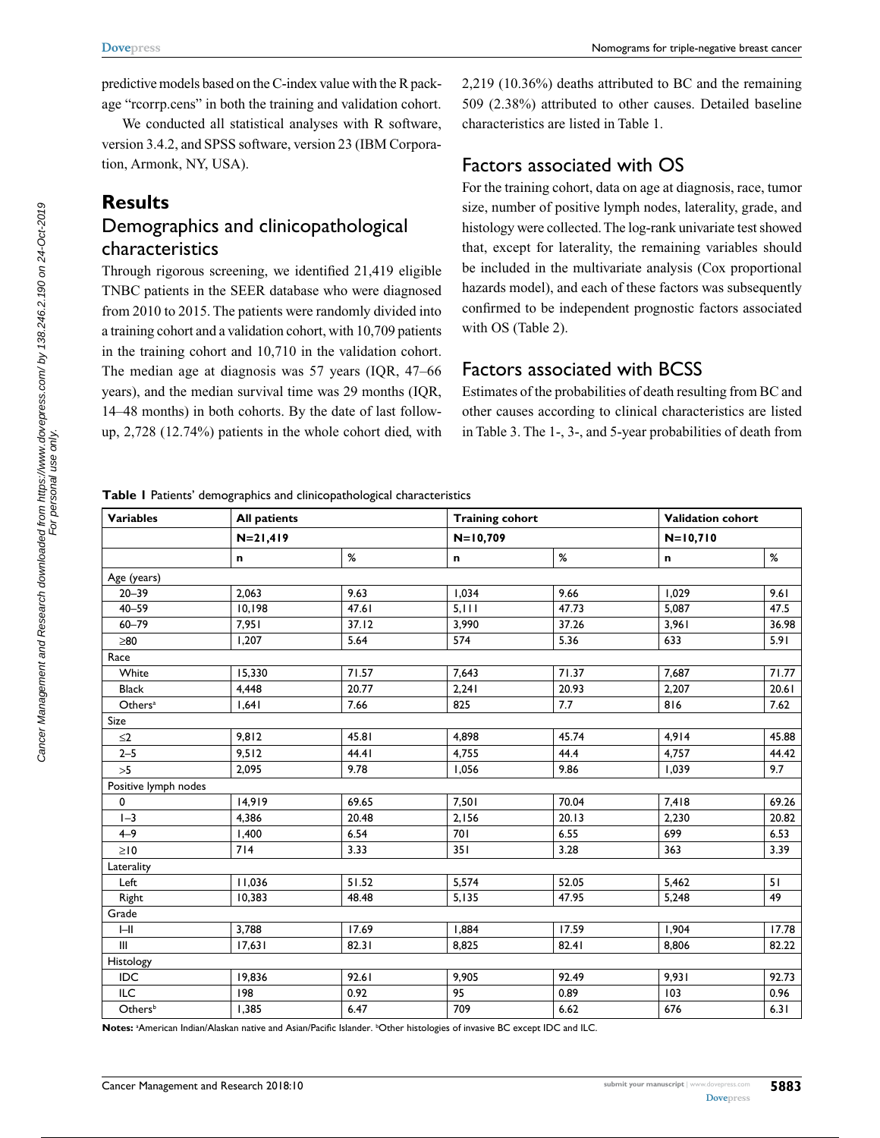predictive models based on the C-index value with the R package "rcorrp.cens" in both the training and validation cohort.

We conducted all statistical analyses with R software, version 3.4.2, and SPSS software, version 23 (IBM Corporation, Armonk, NY, USA).

#### **Results**

## Demographics and clinicopathological characteristics

Through rigorous screening, we identified 21,419 eligible TNBC patients in the SEER database who were diagnosed from 2010 to 2015. The patients were randomly divided into a training cohort and a validation cohort, with 10,709 patients in the training cohort and 10,710 in the validation cohort. The median age at diagnosis was 57 years (IQR, 47–66 years), and the median survival time was 29 months (IQR, 14–48 months) in both cohorts. By the date of last followup, 2,728 (12.74%) patients in the whole cohort died, with 2,219 (10.36%) deaths attributed to BC and the remaining 509 (2.38%) attributed to other causes. Detailed baseline characteristics are listed in Table 1.

#### Factors associated with OS

For the training cohort, data on age at diagnosis, race, tumor size, number of positive lymph nodes, laterality, grade, and histology were collected. The log-rank univariate test showed that, except for laterality, the remaining variables should be included in the multivariate analysis (Cox proportional hazards model), and each of these factors was subsequently confirmed to be independent prognostic factors associated with OS (Table 2).

### Factors associated with BCSS

Estimates of the probabilities of death resulting from BC and other causes according to clinical characteristics are listed in Table 3. The 1-, 3-, and 5-year probabilities of death from

**Table 1** Patients' demographics and clinicopathological characteristics

| <b>Variables</b>     | <b>All patients</b> |       | <b>Training cohort</b> |       |              | <b>Validation cohort</b> |  |
|----------------------|---------------------|-------|------------------------|-------|--------------|--------------------------|--|
|                      | $N = 21,419$        |       | $N = 10,709$           |       | $N = 10,710$ |                          |  |
|                      | n                   | $\%$  | n                      | $\%$  | n            | %                        |  |
| Age (years)          |                     |       |                        |       |              |                          |  |
| $20 - 39$            | 2,063               | 9.63  | 1,034                  | 9.66  | 1,029        | 9.61                     |  |
| $40 - 59$            | 10,198              | 47.61 | 5, 111                 | 47.73 | 5,087        | 47.5                     |  |
| $60 - 79$            | 7,951               | 37.12 | 3,990                  | 37.26 | 3,961        | 36.98                    |  |
| $\geq 80$            | 1,207               | 5.64  | 574                    | 5.36  | 633          | 5.91                     |  |
| Race                 |                     |       |                        |       |              |                          |  |
| White                | 15,330              | 71.57 | 7,643                  | 71.37 | 7,687        | 71.77                    |  |
| <b>Black</b>         | 4,448               | 20.77 | 2,241                  | 20.93 | 2,207        | 20.61                    |  |
| Others <sup>a</sup>  | 1,641               | 7.66  | 825                    | 7.7   | 816          | 7.62                     |  |
| Size                 |                     |       |                        |       |              |                          |  |
| $\leq$ 2             | 9,812               | 45.81 | 4,898                  | 45.74 | 4,914        | 45.88                    |  |
| $2 - 5$              | 9,512               | 44.41 | 4,755                  | 44.4  | 4,757        | 44.42                    |  |
| >5                   | 2.095               | 9.78  | 1,056                  | 9.86  | 1.039        | 9.7                      |  |
| Positive lymph nodes |                     |       |                        |       |              |                          |  |
| 0                    | 14,919              | 69.65 | 7,501                  | 70.04 | 7,418        | 69.26                    |  |
| $I - 3$              | 4,386               | 20.48 | 2,156                  | 20.13 | 2,230        | 20.82                    |  |
| $4 - 9$              | 1,400               | 6.54  | 701                    | 6.55  | 699          | 6.53                     |  |
| $\geq 10$            | 714                 | 3.33  | 351                    | 3.28  | 363          | 3.39                     |  |
| Laterality           |                     |       |                        |       |              |                          |  |
| Left                 | 11,036              | 51.52 | 5,574                  | 52.05 | 5,462        | 51                       |  |
| Right                | 10,383              | 48.48 | 5,135                  | 47.95 | 5,248        | 49                       |  |
| Grade                |                     |       |                        |       |              |                          |  |
| III                  | 3,788               | 17.69 | 1,884                  | 17.59 | 1,904        | 17.78                    |  |
| III                  | 17,631              | 82.31 | 8,825                  | 82.41 | 8,806        | 82.22                    |  |
| Histology            |                     |       |                        |       |              |                          |  |
| IDC                  | 19,836              | 92.61 | 9,905                  | 92.49 | 9,931        | 92.73                    |  |
| ILC                  | 198                 | 0.92  | 95                     | 0.89  | 103          | 0.96                     |  |
| Others <sup>b</sup>  | 1,385               | 6.47  | 709                    | 6.62  | 676          | 6.31                     |  |

Notes: <sup>a</sup>American Indian/Alaskan native and Asian/Pacific Islander. <sup>b</sup>Other histologies of invasive BC except IDC and ILC.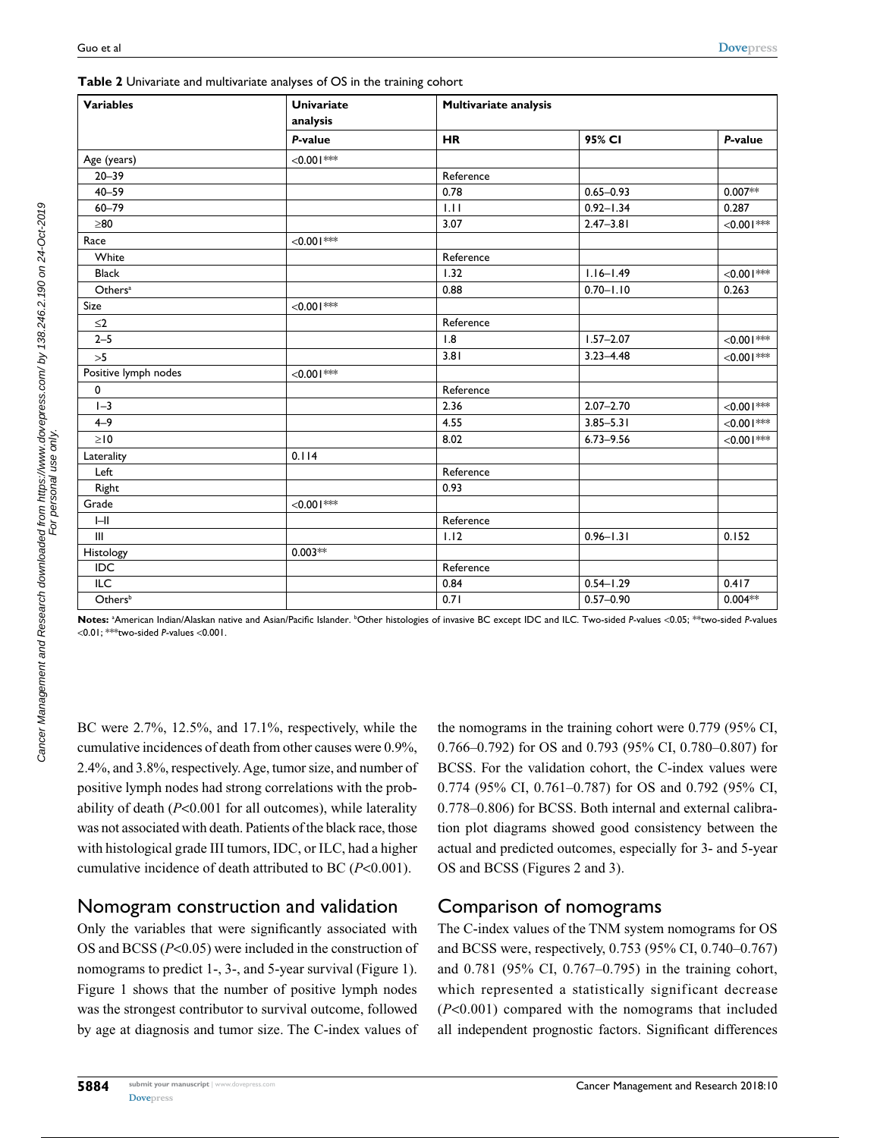| <b>Variables</b>                   | <b>Univariate</b><br>Multivariate analysis<br>analysis |           |               |                  |
|------------------------------------|--------------------------------------------------------|-----------|---------------|------------------|
|                                    | P-value                                                | <b>HR</b> | 95% CI        | P-value          |
| Age (years)                        | $<$ 0.00 l $***$                                       |           |               |                  |
| $20 - 39$                          |                                                        | Reference |               |                  |
| $40 - 59$                          |                                                        | 0.78      | $0.65 - 0.93$ | $0.007**$        |
| $60 - 79$                          |                                                        | 1.11      | $0.92 - 1.34$ | 0.287            |
| $\geq 80$                          |                                                        | 3.07      | $2.47 - 3.81$ | $<$ 0.001***     |
| Race                               | $< 0.001$ ***                                          |           |               |                  |
| White                              |                                                        | Reference |               |                  |
| <b>Black</b>                       |                                                        | 1.32      | $1.16 - 1.49$ | $< 0.001$ ***    |
| Others <sup>a</sup>                |                                                        | 0.88      | $0.70 - 1.10$ | 0.263            |
| Size                               | $< 0.001$ ***                                          |           |               |                  |
| $\leq$ 2                           |                                                        | Reference |               |                  |
| $2 - 5$                            |                                                        | 1.8       | $1.57 - 2.07$ | $<$ 0.00 l ***   |
| $>5$                               |                                                        | 3.81      | $3.23 - 4.48$ | $<$ 0.00 l $***$ |
| Positive lymph nodes               | $<0.001***$                                            |           |               |                  |
| $\pmb{0}$                          |                                                        | Reference |               |                  |
| $1 - 3$                            |                                                        | 2.36      | $2.07 - 2.70$ | $<$ 0.00 l $***$ |
| $4 - 9$                            |                                                        | 4.55      | $3.85 - 5.31$ | $<$ 0.00 l $***$ |
| $\geq$ 10                          |                                                        | 8.02      | $6.73 - 9.56$ | $< 0.001$ ***    |
| Laterality                         | 0.114                                                  |           |               |                  |
| Left                               |                                                        | Reference |               |                  |
| Right                              |                                                        | 0.93      |               |                  |
| Grade                              | $< 0.001$ ***                                          |           |               |                  |
| $I - II$                           |                                                        | Reference |               |                  |
| $\ensuremath{\mathsf{III}}\xspace$ |                                                        | 1.12      | $0.96 - 1.31$ | 0.152            |
| Histology                          | $0.003**$                                              |           |               |                  |
| IDC                                |                                                        | Reference |               |                  |
| $\overline{ILC}$                   |                                                        | 0.84      | $0.54 - 1.29$ | 0.417            |
| Othersb                            |                                                        | 0.71      | $0.57 - 0.90$ | $0.004**$        |

**Table 2** Univariate and multivariate analyses of OS in the training cohort

**Notes:** <sup>a</sup> American Indian/Alaskan native and Asian/Pacific Islander. <sup>b</sup> Other histologies of invasive BC except IDC and ILC. Two-sided *P*-values <0.05; \*\*two-sided *P*-values <0.01; \*\*\*two-sided *P*-values <0.001.

BC were 2.7%, 12.5%, and 17.1%, respectively, while the cumulative incidences of death from other causes were 0.9%, 2.4%, and 3.8%, respectively. Age, tumor size, and number of positive lymph nodes had strong correlations with the probability of death (*P*<0.001 for all outcomes), while laterality was not associated with death. Patients of the black race, those with histological grade III tumors, IDC, or ILC, had a higher cumulative incidence of death attributed to BC (*P*<0.001).

#### Nomogram construction and validation

Only the variables that were significantly associated with OS and BCSS (*P*<0.05) were included in the construction of nomograms to predict 1-, 3-, and 5-year survival (Figure 1). Figure 1 shows that the number of positive lymph nodes was the strongest contributor to survival outcome, followed by age at diagnosis and tumor size. The C-index values of the nomograms in the training cohort were 0.779 (95% CI, 0.766–0.792) for OS and 0.793 (95% CI, 0.780–0.807) for BCSS. For the validation cohort, the C-index values were 0.774 (95% CI, 0.761–0.787) for OS and 0.792 (95% CI, 0.778–0.806) for BCSS. Both internal and external calibration plot diagrams showed good consistency between the actual and predicted outcomes, especially for 3- and 5-year OS and BCSS (Figures 2 and 3).

## Comparison of nomograms

The C-index values of the TNM system nomograms for OS and BCSS were, respectively, 0.753 (95% CI, 0.740–0.767) and 0.781 (95% CI, 0.767–0.795) in the training cohort, which represented a statistically significant decrease (*P*<0.001) compared with the nomograms that included all independent prognostic factors. Significant differences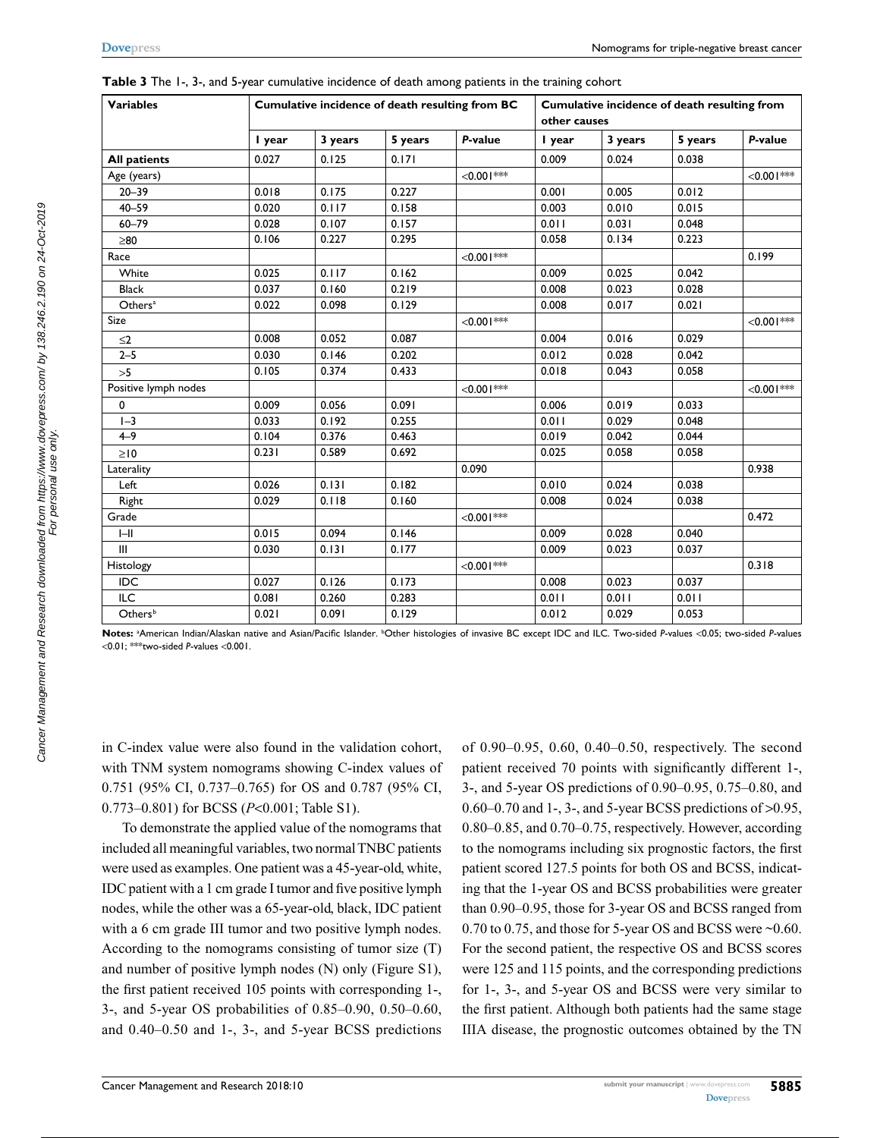| <b>Variables</b>     | Cumulative incidence of death resulting from BC |         |         |                  | Cumulative incidence of death resulting from<br>other causes |         |         |                |
|----------------------|-------------------------------------------------|---------|---------|------------------|--------------------------------------------------------------|---------|---------|----------------|
|                      | I year                                          | 3 years | 5 years | P-value          | I year                                                       | 3 years | 5 years | P-value        |
| <b>All patients</b>  | 0.027                                           | 0.125   | 0.171   |                  | 0.009                                                        | 0.024   | 0.038   |                |
| Age (years)          |                                                 |         |         | $< 0.001$ ***    |                                                              |         |         | $<$ 0.00 l *** |
| $20 - 39$            | 0.018                                           | 0.175   | 0.227   |                  | 0.001                                                        | 0.005   | 0.012   |                |
| $40 - 59$            | 0.020                                           | 0.117   | 0.158   |                  | 0.003                                                        | 0.010   | 0.015   |                |
| $60 - 79$            | 0.028                                           | 0.107   | 0.157   |                  | 0.011                                                        | 0.031   | 0.048   |                |
| $\geq 80$            | 0.106                                           | 0.227   | 0.295   |                  | 0.058                                                        | 0.134   | 0.223   |                |
| Race                 |                                                 |         |         | $< 0.001$ ***    |                                                              |         |         | 0.199          |
| White                | 0.025                                           | 0.117   | 0.162   |                  | 0.009                                                        | 0.025   | 0.042   |                |
| <b>Black</b>         | 0.037                                           | 0.160   | 0.219   |                  | 0.008                                                        | 0.023   | 0.028   |                |
| Others <sup>a</sup>  | 0.022                                           | 0.098   | 0.129   |                  | 0.008                                                        | 0.017   | 0.021   |                |
| Size                 |                                                 |         |         | $< 0.001$ ***    |                                                              |         |         | $< 0.001$ ***  |
| $\leq$ 2             | 0.008                                           | 0.052   | 0.087   |                  | 0.004                                                        | 0.016   | 0.029   |                |
| $2 - 5$              | 0.030                                           | 0.146   | 0.202   |                  | 0.012                                                        | 0.028   | 0.042   |                |
| >5                   | 0.105                                           | 0.374   | 0.433   |                  | 0.018                                                        | 0.043   | 0.058   |                |
| Positive lymph nodes |                                                 |         |         | $< 0.001$ ***    |                                                              |         |         | $<0.001***$    |
| 0                    | 0.009                                           | 0.056   | 0.091   |                  | 0.006                                                        | 0.019   | 0.033   |                |
| $I - 3$              | 0.033                                           | 0.192   | 0.255   |                  | 0.011                                                        | 0.029   | 0.048   |                |
| $4 - 9$              | 0.104                                           | 0.376   | 0.463   |                  | 0.019                                                        | 0.042   | 0.044   |                |
| $\geq 10$            | 0.231                                           | 0.589   | 0.692   |                  | 0.025                                                        | 0.058   | 0.058   |                |
| Laterality           |                                                 |         |         | 0.090            |                                                              |         |         | 0.938          |
| Left                 | 0.026                                           | 0.131   | 0.182   |                  | 0.010                                                        | 0.024   | 0.038   |                |
| Right                | 0.029                                           | 0.118   | 0.160   |                  | 0.008                                                        | 0.024   | 0.038   |                |
| Grade                |                                                 |         |         | $<$ 0.00 l $***$ |                                                              |         |         | 0.472          |
| $I - II$             | 0.015                                           | 0.094   | 0.146   |                  | 0.009                                                        | 0.028   | 0.040   |                |
| III                  | 0.030                                           | 0.131   | 0.177   |                  | 0.009                                                        | 0.023   | 0.037   |                |
| Histology            |                                                 |         |         | $< 0.001$ ***    |                                                              |         |         | 0.318          |
| <b>IDC</b>           | 0.027                                           | 0.126   | 0.173   |                  | 0.008                                                        | 0.023   | 0.037   |                |
| ILC                  | 0.081                                           | 0.260   | 0.283   |                  | 0.011                                                        | 0.011   | 0.011   |                |
| Others <sup>b</sup>  | 0.021                                           | 0.091   | 0.129   |                  | 0.012                                                        | 0.029   | 0.053   |                |

| Table 3 The 1-, 3-, and 5-year cumulative incidence of death among patients in the training cohort |  |
|----------------------------------------------------------------------------------------------------|--|
|                                                                                                    |  |

Notes: <sup>a</sup>American Indian/Alaskan native and Asian/Pacific Islander. <sup>b</sup>Other histologies of invasive BC except IDC and ILC. Two-sided *P*-values <0.05; two-sided *P-v*alues <0.01; \*\*\*two-sided *P*-values <0.001.

in C-index value were also found in the validation cohort, with TNM system nomograms showing C-index values of 0.751 (95% CI, 0.737–0.765) for OS and 0.787 (95% CI, 0.773–0.801) for BCSS (*P*<0.001; Table S1).

To demonstrate the applied value of the nomograms that included all meaningful variables, two normal TNBC patients were used as examples. One patient was a 45-year-old, white, IDC patient with a 1 cm grade I tumor and five positive lymph nodes, while the other was a 65-year-old, black, IDC patient with a 6 cm grade III tumor and two positive lymph nodes. According to the nomograms consisting of tumor size (T) and number of positive lymph nodes (N) only (Figure S1), the first patient received 105 points with corresponding 1-, 3-, and 5-year OS probabilities of 0.85–0.90, 0.50–0.60, and 0.40–0.50 and 1-, 3-, and 5-year BCSS predictions

of 0.90–0.95, 0.60, 0.40–0.50, respectively. The second patient received 70 points with significantly different 1-, 3-, and 5-year OS predictions of 0.90–0.95, 0.75–0.80, and 0.60–0.70 and 1-, 3-, and 5-year BCSS predictions of >0.95, 0.80–0.85, and 0.70–0.75, respectively. However, according to the nomograms including six prognostic factors, the first patient scored 127.5 points for both OS and BCSS, indicating that the 1-year OS and BCSS probabilities were greater than 0.90–0.95, those for 3-year OS and BCSS ranged from 0.70 to 0.75, and those for 5-year OS and BCSS were ~0.60. For the second patient, the respective OS and BCSS scores were 125 and 115 points, and the corresponding predictions for 1-, 3-, and 5-year OS and BCSS were very similar to the first patient. Although both patients had the same stage IIIA disease, the prognostic outcomes obtained by the TN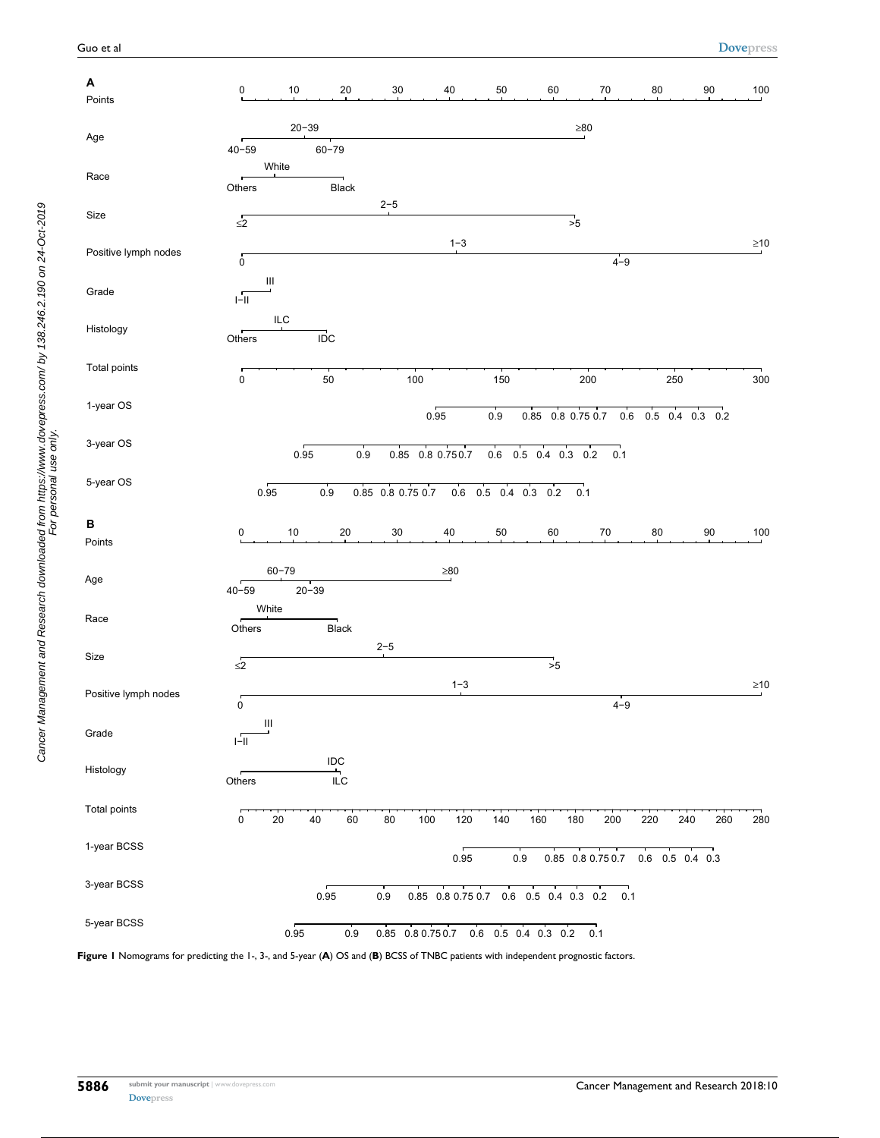| Α<br>Points          | 0                                                       | 10<br>20                             | $30\,$            | 40        | 50                                                                                 | 60<br>$70\,$                                 | 80                | 90     | 100       |
|----------------------|---------------------------------------------------------|--------------------------------------|-------------------|-----------|------------------------------------------------------------------------------------|----------------------------------------------|-------------------|--------|-----------|
|                      |                                                         | $20 - 39$                            |                   |           |                                                                                    | $\geq 80$                                    |                   |        |           |
| Age                  | $40 - 59$                                               | $60 - 79$                            |                   |           |                                                                                    |                                              |                   |        |           |
| Race                 | White<br>Others                                         | Black                                |                   |           |                                                                                    |                                              |                   |        |           |
| Size                 |                                                         |                                      | $2 - 5$           |           |                                                                                    |                                              |                   |        |           |
|                      | $\overline{\leq}$                                       |                                      |                   | $1 - 3$   |                                                                                    | $\overline{\phantom{0}}$ <sub>25</sub>       |                   |        | $\geq 10$ |
| Positive lymph nodes | $\overline{0}$                                          |                                      |                   |           |                                                                                    | $4 - 9$                                      |                   |        |           |
| Grade                | $\ensuremath{\mathsf{III}}\xspace$<br>$\frac{1}{1-11}$  |                                      |                   |           |                                                                                    |                                              |                   |        |           |
| Histology            | ILC<br>Others                                           | $\overline{ID}C$                     |                   |           |                                                                                    |                                              |                   |        |           |
| Total points         | $\pmb{0}$                                               | $50\,$                               | 100               |           | 150                                                                                | 200                                          | 250               |        | 300       |
| 1-year OS            |                                                         |                                      |                   | 0.95      | 0.9                                                                                | 0.85 0.8 0.75 0.7<br>0.6                     | $0.5$ 0.4 0.3 0.2 |        |           |
| 3-year OS            |                                                         | 0.95<br>0.9                          | 0.85 0.8 0.750.7  |           | 0.6 0.5 0.4 0.3 0.2                                                                | 0.1                                          |                   |        |           |
| 5-year OS            | 0.95                                                    | 0.9                                  | 0.85 0.8 0.75 0.7 |           | 0.6 0.5 0.4 0.3 0.2                                                                | 0.1                                          |                   |        |           |
| B                    | 0                                                       | 10<br>20                             | $30\,$            | 40        | $50\,$                                                                             | $70\,$<br>60                                 | 80                | $90\,$ | 100       |
| Points               |                                                         |                                      |                   |           |                                                                                    |                                              |                   |        |           |
| Age                  | $60 - 79$<br>$40 - 59$                                  | $20 - 39$                            |                   | $\geq 80$ |                                                                                    |                                              |                   |        |           |
| Race                 | White<br>Others                                         | Black                                |                   |           |                                                                                    |                                              |                   |        |           |
| Size                 | $\overline{\leq}2$                                      |                                      | $2 - 5$           |           |                                                                                    | $\frac{1}{5}$                                |                   |        |           |
| Positive lymph nodes |                                                         |                                      |                   | $1 - 3$   |                                                                                    | $4 - 9$                                      |                   |        | $\geq10$  |
| Grade                | 0<br>$\ensuremath{\mathsf{III}}\xspace$<br>$\sqrt{-11}$ |                                      |                   |           |                                                                                    |                                              |                   |        |           |
| Histology            | Others                                                  | $\sf{IDC}$<br>$\frac{1}{\text{ILC}}$ |                   |           |                                                                                    |                                              |                   |        |           |
| Total points         | 0<br>$20\,$                                             | 40<br>60                             | 100<br>$80\,$     | 120       | 140<br>160                                                                         | 180<br>200                                   | 220<br>240        | 260    | 280       |
| 1-year BCSS          |                                                         |                                      |                   | 0.95      | $0.9\,$                                                                            | 0.85 0.8 0.75 0.7                            | $0.6$ 0.5 0.4 0.3 |        |           |
| 3-year BCSS          |                                                         | 0.95                                 | $0.9\,$           |           |                                                                                    | 0.85 0.8 0.75 0.7 0.6 0.5 0.4 0.3 0.2<br>0.1 |                   |        |           |
| 5-year BCSS          |                                                         | 0.95<br>$0.9\,$                      |                   |           | $0.85 \quad 0.8 \; 0.75 \; 0.7 \qquad 0.6 \quad 0.5 \quad 0.4 \quad 0.3 \quad 0.2$ | 0.1                                          |                   |        |           |

**Figure 1** Nomograms for predicting the 1-, 3-, and 5-year (**A**) OS and (**B**) BCSS of TNBC patients with independent prognostic factors.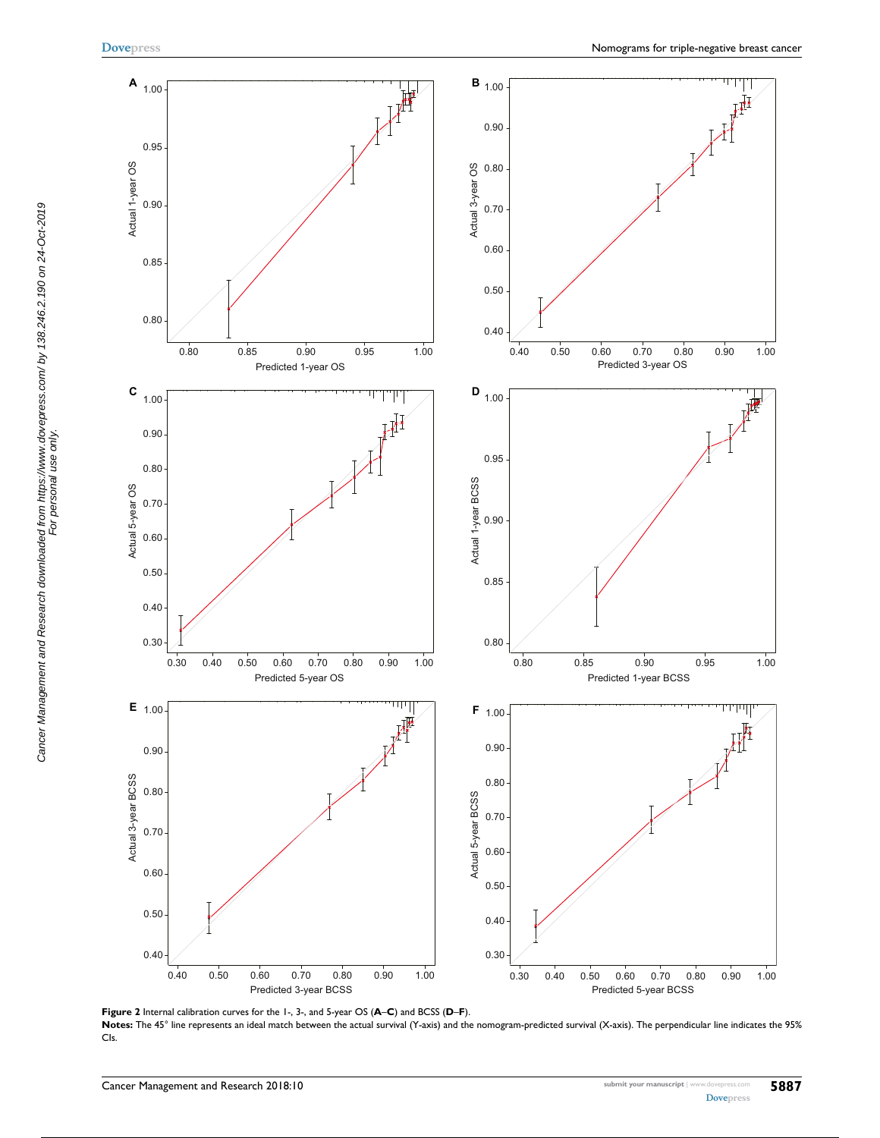Cancer Management and Research downloaded from https://www.dovepress.com/ by 138.246.2.190 on 24-Oct-2019 For personal use only.

Cancer Management and Research downloaded from https://www.dovepress.com/ by 138.246.2.190 on 24-Oct-2019<br>For personal use only.



**Figure 2** Internal calibration curves for the 1-, 3-, and 5-year OS (**A**–**C**) and BCSS (**D**–**F**). Notes: The 45° line represents an ideal match between the actual survival (Y-axis) and the nomogram-predicted survival (X-axis). The perpendicular line indicates the 95% CIs.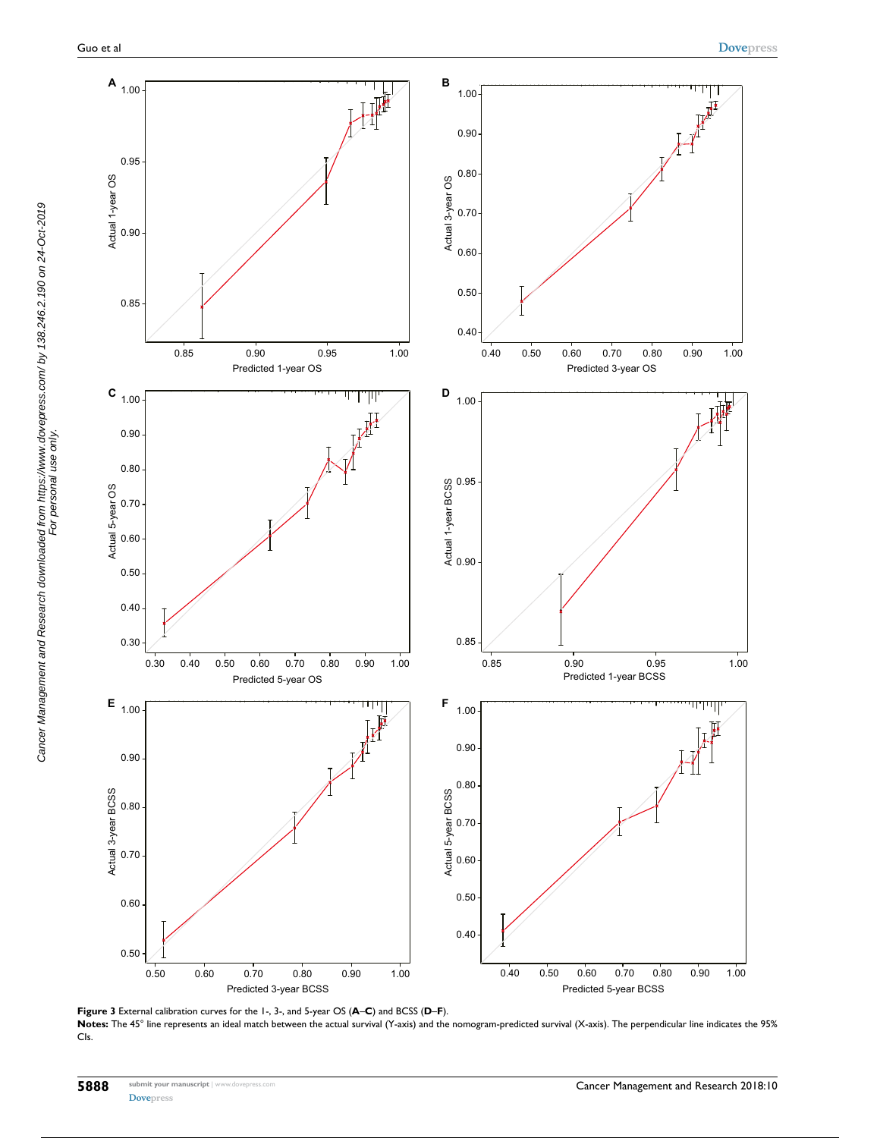

**Figure 3** External calibration curves for the 1-, 3-, and 5-year OS (**A**–**C**) and BCSS (**D**–**F**). Notes: The 45° line represents an ideal match between the actual survival (Y-axis) and the nomogram-predicted survival (X-axis). The perpendicular line indicates the 95% CIs.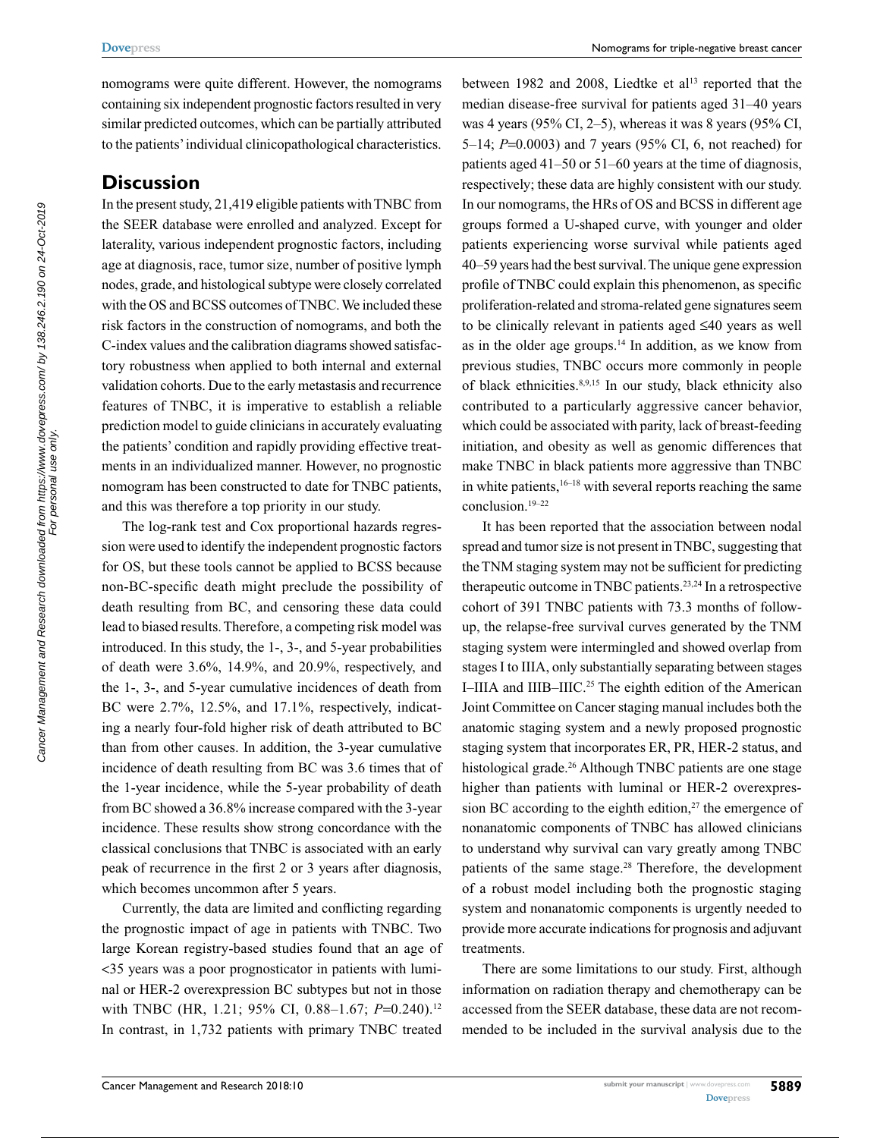nomograms were quite different. However, the nomograms containing six independent prognostic factors resulted in very similar predicted outcomes, which can be partially attributed to the patients' individual clinicopathological characteristics.

#### **Discussion**

In the present study, 21,419 eligible patients with TNBC from the SEER database were enrolled and analyzed. Except for laterality, various independent prognostic factors, including age at diagnosis, race, tumor size, number of positive lymph nodes, grade, and histological subtype were closely correlated with the OS and BCSS outcomes of TNBC. We included these risk factors in the construction of nomograms, and both the C-index values and the calibration diagrams showed satisfactory robustness when applied to both internal and external validation cohorts. Due to the early metastasis and recurrence features of TNBC, it is imperative to establish a reliable prediction model to guide clinicians in accurately evaluating the patients' condition and rapidly providing effective treatments in an individualized manner. However, no prognostic nomogram has been constructed to date for TNBC patients, and this was therefore a top priority in our study.

The log-rank test and Cox proportional hazards regression were used to identify the independent prognostic factors for OS, but these tools cannot be applied to BCSS because non-BC-specific death might preclude the possibility of death resulting from BC, and censoring these data could lead to biased results. Therefore, a competing risk model was introduced. In this study, the 1-, 3-, and 5-year probabilities of death were 3.6%, 14.9%, and 20.9%, respectively, and the 1-, 3-, and 5-year cumulative incidences of death from BC were 2.7%, 12.5%, and 17.1%, respectively, indicating a nearly four-fold higher risk of death attributed to BC than from other causes. In addition, the 3-year cumulative incidence of death resulting from BC was 3.6 times that of the 1-year incidence, while the 5-year probability of death from BC showed a 36.8% increase compared with the 3-year incidence. These results show strong concordance with the classical conclusions that TNBC is associated with an early peak of recurrence in the first 2 or 3 years after diagnosis, which becomes uncommon after 5 years.

Currently, the data are limited and conflicting regarding the prognostic impact of age in patients with TNBC. Two large Korean registry-based studies found that an age of <35 years was a poor prognosticator in patients with luminal or HER-2 overexpression BC subtypes but not in those with TNBC (HR, 1.21; 95% CI, 0.88-1.67; *P*=0.240).<sup>12</sup> In contrast, in 1,732 patients with primary TNBC treated

between 1982 and 2008, Liedtke et  $al<sup>13</sup>$  reported that the median disease-free survival for patients aged 31–40 years was 4 years (95% CI, 2–5), whereas it was 8 years (95% CI, 5–14; *P*=0.0003) and 7 years (95% CI, 6, not reached) for patients aged 41–50 or 51–60 years at the time of diagnosis, respectively; these data are highly consistent with our study. In our nomograms, the HRs of OS and BCSS in different age groups formed a U-shaped curve, with younger and older patients experiencing worse survival while patients aged 40–59 years had the best survival. The unique gene expression profile of TNBC could explain this phenomenon, as specific proliferation-related and stroma-related gene signatures seem to be clinically relevant in patients aged ≤40 years as well as in the older age groups.14 In addition, as we know from previous studies, TNBC occurs more commonly in people of black ethnicities.8,9,15 In our study, black ethnicity also contributed to a particularly aggressive cancer behavior, which could be associated with parity, lack of breast-feeding initiation, and obesity as well as genomic differences that make TNBC in black patients more aggressive than TNBC in white patients,  $16-18$  with several reports reaching the same conclusion.19–22

It has been reported that the association between nodal spread and tumor size is not present in TNBC, suggesting that the TNM staging system may not be sufficient for predicting therapeutic outcome in TNBC patients.23,24 In a retrospective cohort of 391 TNBC patients with 73.3 months of followup, the relapse-free survival curves generated by the TNM staging system were intermingled and showed overlap from stages I to IIIA, only substantially separating between stages I–IIIA and IIIB–IIIC.25 The eighth edition of the American Joint Committee on Cancer staging manual includes both the anatomic staging system and a newly proposed prognostic staging system that incorporates ER, PR, HER-2 status, and histological grade.<sup>26</sup> Although TNBC patients are one stage higher than patients with luminal or HER-2 overexpression BC according to the eighth edition, $27$  the emergence of nonanatomic components of TNBC has allowed clinicians to understand why survival can vary greatly among TNBC patients of the same stage.<sup>28</sup> Therefore, the development of a robust model including both the prognostic staging system and nonanatomic components is urgently needed to provide more accurate indications for prognosis and adjuvant treatments.

There are some limitations to our study. First, although information on radiation therapy and chemotherapy can be accessed from the SEER database, these data are not recommended to be included in the survival analysis due to the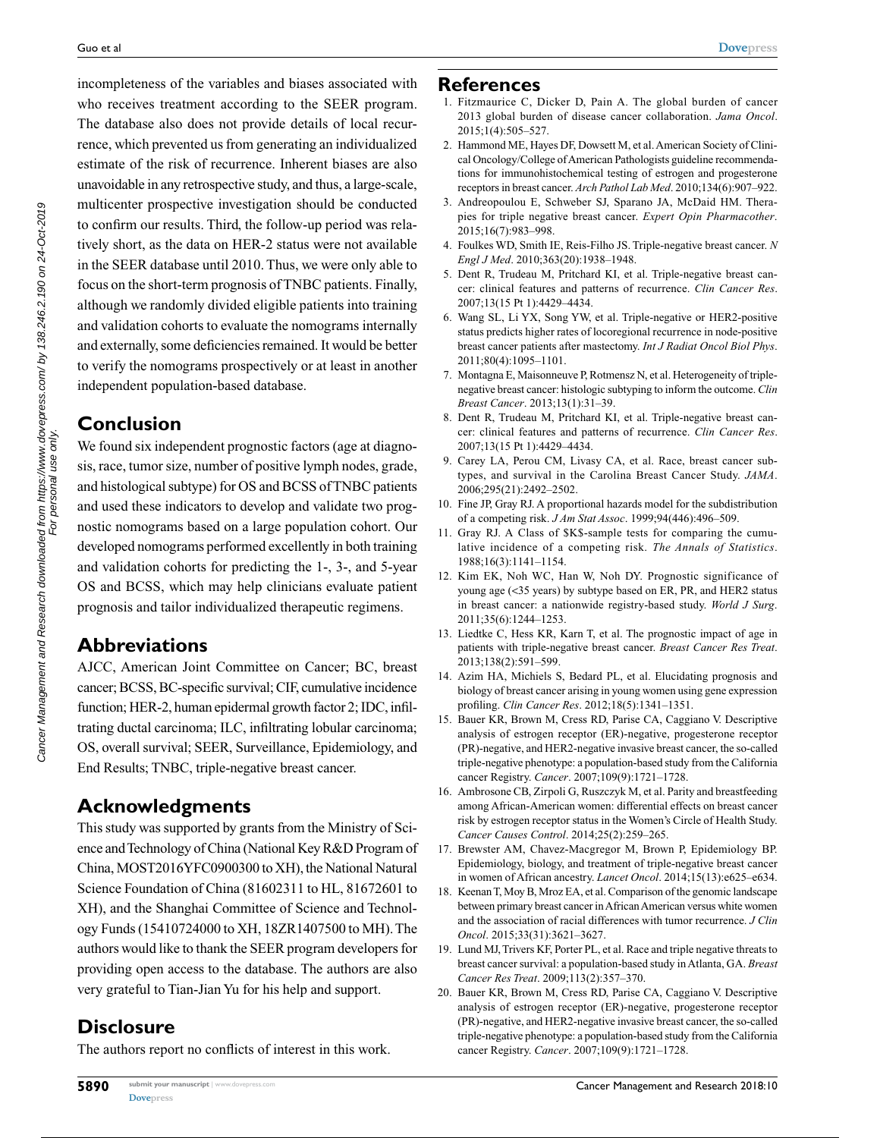incompleteness of the variables and biases associated with who receives treatment according to the SEER program. The database also does not provide details of local recurrence, which prevented us from generating an individualized estimate of the risk of recurrence. Inherent biases are also unavoidable in any retrospective study, and thus, a large-scale, multicenter prospective investigation should be conducted to confirm our results. Third, the follow-up period was relatively short, as the data on HER-2 status were not available in the SEER database until 2010. Thus, we were only able to focus on the short-term prognosis of TNBC patients. Finally, although we randomly divided eligible patients into training and validation cohorts to evaluate the nomograms internally and externally, some deficiencies remained. It would be better to verify the nomograms prospectively or at least in another independent population-based database.

## **Conclusion**

We found six independent prognostic factors (age at diagnosis, race, tumor size, number of positive lymph nodes, grade, and histological subtype) for OS and BCSS of TNBC patients and used these indicators to develop and validate two prognostic nomograms based on a large population cohort. Our developed nomograms performed excellently in both training and validation cohorts for predicting the 1-, 3-, and 5-year OS and BCSS, which may help clinicians evaluate patient prognosis and tailor individualized therapeutic regimens.

## **Abbreviations**

AJCC, American Joint Committee on Cancer; BC, breast cancer; BCSS, BC-specific survival; CIF, cumulative incidence function; HER-2, human epidermal growth factor 2; IDC, infiltrating ductal carcinoma; ILC, infiltrating lobular carcinoma; OS, overall survival; SEER, Surveillance, Epidemiology, and End Results; TNBC, triple-negative breast cancer.

## **Acknowledgments**

This study was supported by grants from the Ministry of Science and Technology of China (National Key R&D Program of China, MOST2016YFC0900300 to XH), the National Natural Science Foundation of China (81602311 to HL, 81672601 to XH), and the Shanghai Committee of Science and Technology Funds (15410724000 to XH, 18ZR1407500 to MH). The authors would like to thank the SEER program developers for providing open access to the database. The authors are also very grateful to Tian-Jian Yu for his help and support.

# **Disclosure**

The authors report no conflicts of interest in this work.

**[Dovepress](www.dovepress.com)  5890**

#### **References**

- 1. Fitzmaurice C, Dicker D, Pain A. The global burden of cancer 2013 global burden of disease cancer collaboration. *Jama Oncol*. 2015;1(4):505–527.
- 2. Hammond ME, Hayes DF, Dowsett M, et al. American Society of Clinical Oncology/College of American Pathologists guideline recommendations for immunohistochemical testing of estrogen and progesterone receptors in breast cancer. *Arch Pathol Lab Med*. 2010;134(6):907–922.
- 3. Andreopoulou E, Schweber SJ, Sparano JA, McDaid HM. Therapies for triple negative breast cancer. *Expert Opin Pharmacother*. 2015;16(7):983–998.
- 4. Foulkes WD, Smith IE, Reis-Filho JS. Triple-negative breast cancer. *N Engl J Med*. 2010;363(20):1938–1948.
- 5. Dent R, Trudeau M, Pritchard KI, et al. Triple-negative breast cancer: clinical features and patterns of recurrence. *Clin Cancer Res*. 2007;13(15 Pt 1):4429–4434.
- 6. Wang SL, Li YX, Song YW, et al. Triple-negative or HER2-positive status predicts higher rates of locoregional recurrence in node-positive breast cancer patients after mastectomy. *Int J Radiat Oncol Biol Phys*. 2011;80(4):1095–1101.
- 7. Montagna E, Maisonneuve P, Rotmensz N, et al. Heterogeneity of triplenegative breast cancer: histologic subtyping to inform the outcome. *Clin Breast Cancer*. 2013;13(1):31–39.
- 8. Dent R, Trudeau M, Pritchard KI, et al. Triple-negative breast cancer: clinical features and patterns of recurrence. *Clin Cancer Res*. 2007;13(15 Pt 1):4429–4434.
- 9. Carey LA, Perou CM, Livasy CA, et al. Race, breast cancer subtypes, and survival in the Carolina Breast Cancer Study. *JAMA*. 2006;295(21):2492–2502.
- 10. Fine JP, Gray RJ. A proportional hazards model for the subdistribution of a competing risk. *J Am Stat Assoc*. 1999;94(446):496–509.
- 11. Gray RJ. A Class of \$K\$-sample tests for comparing the cumulative incidence of a competing risk. *The Annals of Statistics*. 1988;16(3):1141–1154.
- 12. Kim EK, Noh WC, Han W, Noh DY. Prognostic significance of young age (<35 years) by subtype based on ER, PR, and HER2 status in breast cancer: a nationwide registry-based study. *World J Surg*. 2011;35(6):1244–1253.
- 13. Liedtke C, Hess KR, Karn T, et al. The prognostic impact of age in patients with triple-negative breast cancer. *Breast Cancer Res Treat*. 2013;138(2):591–599.
- 14. Azim HA, Michiels S, Bedard PL, et al. Elucidating prognosis and biology of breast cancer arising in young women using gene expression profiling. *Clin Cancer Res*. 2012;18(5):1341–1351.
- 15. Bauer KR, Brown M, Cress RD, Parise CA, Caggiano V. Descriptive analysis of estrogen receptor (ER)-negative, progesterone receptor (PR)-negative, and HER2-negative invasive breast cancer, the so-called triple-negative phenotype: a population-based study from the California cancer Registry. *Cancer*. 2007;109(9):1721–1728.
- 16. Ambrosone CB, Zirpoli G, Ruszczyk M, et al. Parity and breastfeeding among African-American women: differential effects on breast cancer risk by estrogen receptor status in the Women's Circle of Health Study. *Cancer Causes Control*. 2014;25(2):259–265.
- 17. Brewster AM, Chavez-Macgregor M, Brown P, Epidemiology BP. Epidemiology, biology, and treatment of triple-negative breast cancer in women of African ancestry. *Lancet Oncol*. 2014;15(13):e625–e634.
- 18. Keenan T, Moy B, Mroz EA, et al. Comparison of the genomic landscape between primary breast cancer in African American versus white women and the association of racial differences with tumor recurrence. *J Clin Oncol*. 2015;33(31):3621–3627.
- 19. Lund MJ, Trivers KF, Porter PL, et al. Race and triple negative threats to breast cancer survival: a population-based study in Atlanta, GA. *Breast Cancer Res Treat*. 2009;113(2):357–370.
- 20. Bauer KR, Brown M, Cress RD, Parise CA, Caggiano V. Descriptive analysis of estrogen receptor (ER)-negative, progesterone receptor (PR)-negative, and HER2-negative invasive breast cancer, the so-called triple-negative phenotype: a population-based study from the California cancer Registry. *Cancer*. 2007;109(9):1721–1728.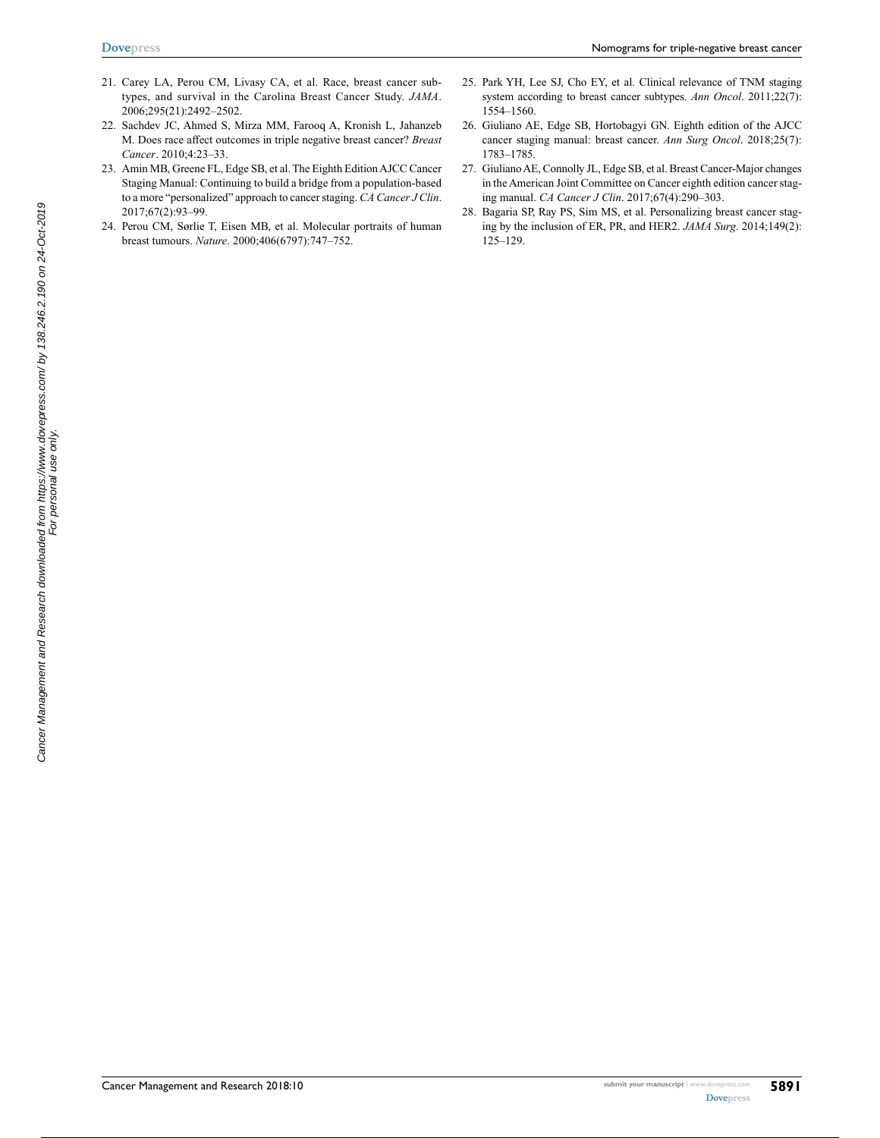- 21. Carey LA, Perou CM, Livasy CA, et al. Race, breast cancer subtypes, and survival in the Carolina Breast Cancer Study. *JAMA*. 2006;295(21):2492–2502.
- 22. Sachdev JC, Ahmed S, Mirza MM, Farooq A, Kronish L, Jahanzeb M. Does race affect outcomes in triple negative breast cancer? *Breast Cancer*. 2010;4:23–33.
- 23. Amin MB, Greene FL, Edge SB, et al. The Eighth Edition AJCC Cancer Staging Manual: Continuing to build a bridge from a population-based to a more "personalized" approach to cancer staging. *CA Cancer J Clin*. 2017;67(2):93–99.
- 24. Perou CM, Sørlie T, Eisen MB, et al. Molecular portraits of human breast tumours. *Nature*. 2000;406(6797):747–752.
- 25. Park YH, Lee SJ, Cho EY, et al. Clinical relevance of TNM staging system according to breast cancer subtypes. *Ann Oncol*. 2011;22(7): 1554–1560.
- 26. Giuliano AE, Edge SB, Hortobagyi GN. Eighth edition of the AJCC cancer staging manual: breast cancer. *Ann Surg Oncol*. 2018;25(7): 1783–1785.
- 27. Giuliano AE, Connolly JL, Edge SB, et al. Breast Cancer-Major changes in the American Joint Committee on Cancer eighth edition cancer staging manual. *CA Cancer J Clin*. 2017;67(4):290–303.
- 28. Bagaria SP, Ray PS, Sim MS, et al. Personalizing breast cancer staging by the inclusion of ER, PR, and HER2. *JAMA Surg*. 2014;149(2): 125–129.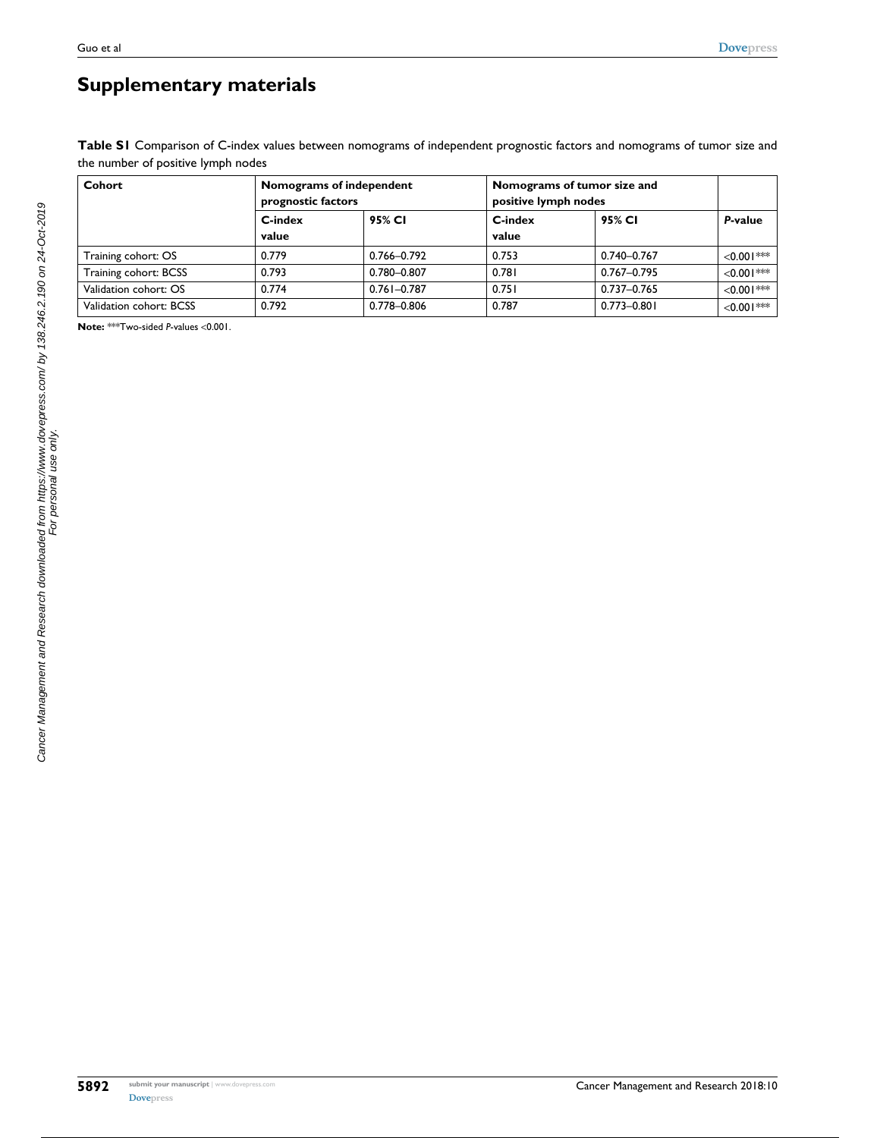# **Supplementary materials**

Table S1 Comparison of C-index values between nomograms of independent prognostic factors and nomograms of tumor size and the number of positive lymph nodes

| Cohort                  | Nomograms of independent<br>prognostic factors |                 | Nomograms of tumor size and<br>positive lymph nodes |                 |               |
|-------------------------|------------------------------------------------|-----------------|-----------------------------------------------------|-----------------|---------------|
|                         | C-index                                        | 95% CI          | C-index                                             | 95% CI          | P-value       |
|                         | value                                          |                 | value                                               |                 |               |
| Training cohort: OS     | 0.779                                          | 0.766-0.792     | 0.753                                               | 0.740-0.767     | $< 0.001$ *** |
| Training cohort: BCSS   | 0.793                                          | 0.780-0.807     | 0.781                                               | 0.767-0.795     | $< 0.001$ *** |
| Validation cohort: OS   | 0.774                                          | $0.761 - 0.787$ | 0.751                                               | 0.737-0.765     | $< 0.001$ *** |
| Validation cohort: BCSS | 0.792                                          | 0.778-0.806     | 0.787                                               | $0.773 - 0.801$ | $< 0.001$ *** |

**Note:** \*\*\*Two-sided *P*-values <0.001.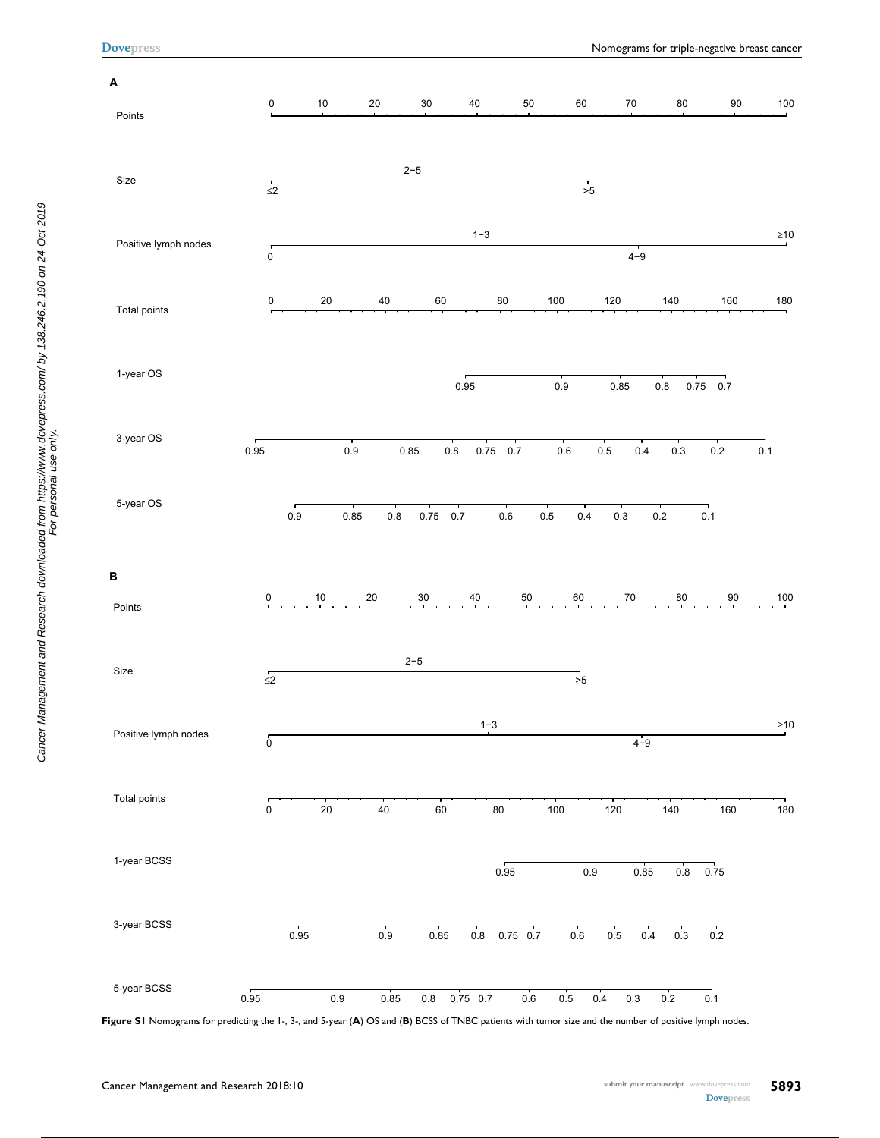**[Dovepress](www.dovepress.com)**